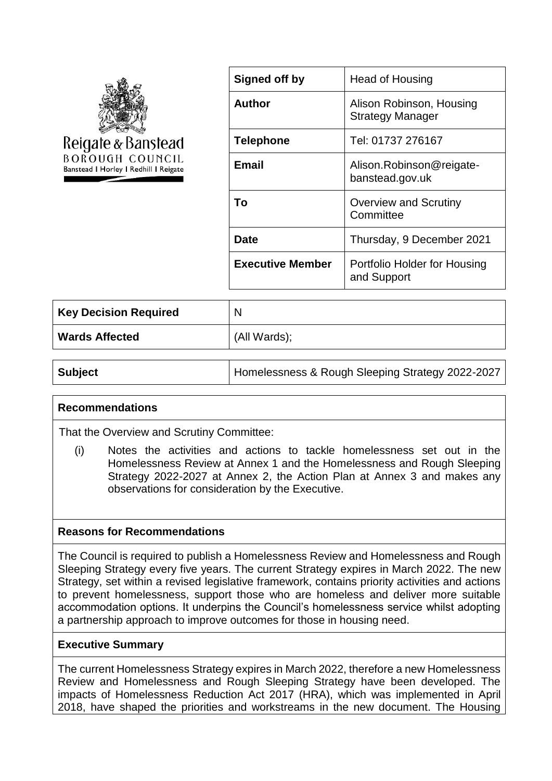

| Signed off by           | Head of Housing                                     |
|-------------------------|-----------------------------------------------------|
| Author                  | Alison Robinson, Housing<br><b>Strategy Manager</b> |
| <b>Telephone</b>        | Tel: 01737 276167                                   |
| <b>Email</b>            | Alison.Robinson@reigate-<br>banstead.gov.uk         |
| To                      | <b>Overview and Scrutiny</b><br>Committee           |
| Date                    | Thursday, 9 December 2021                           |
| <b>Executive Member</b> | Portfolio Holder for Housing<br>and Support         |

| Key Decision Required | N            |
|-----------------------|--------------|
| <b>Wards Affected</b> | (All Wards); |

**Subject Homelessness & Rough Sleeping Strategy 2022-2027** 

## **Recommendations**

That the Overview and Scrutiny Committee:

(i) Notes the activities and actions to tackle homelessness set out in the Homelessness Review at Annex 1 and the Homelessness and Rough Sleeping Strategy 2022-2027 at Annex 2, the Action Plan at Annex 3 and makes any observations for consideration by the Executive.

#### **Reasons for Recommendations**

The Council is required to publish a Homelessness Review and Homelessness and Rough Sleeping Strategy every five years. The current Strategy expires in March 2022. The new Strategy, set within a revised legislative framework, contains priority activities and actions to prevent homelessness, support those who are homeless and deliver more suitable accommodation options. It underpins the Council's homelessness service whilst adopting a partnership approach to improve outcomes for those in housing need.

### **Executive Summary**

The current Homelessness Strategy expires in March 2022, therefore a new Homelessness Review and Homelessness and Rough Sleeping Strategy have been developed. The impacts of Homelessness Reduction Act 2017 (HRA), which was implemented in April 2018, have shaped the priorities and workstreams in the new document. The Housing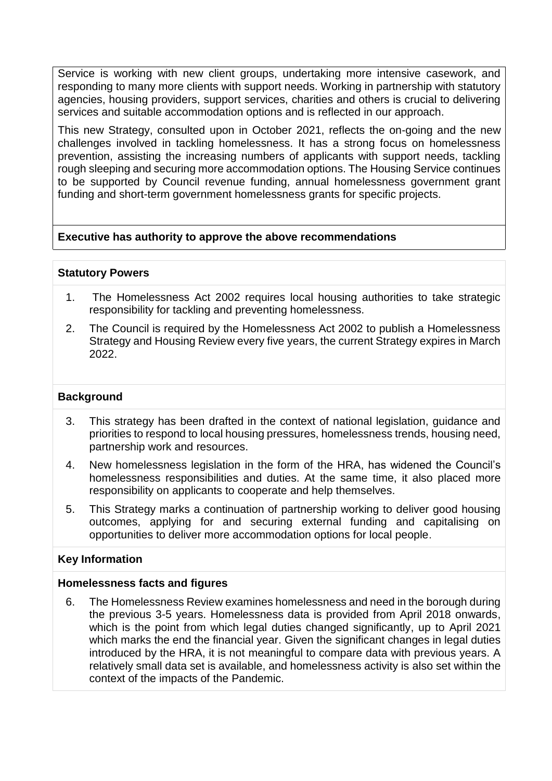Service is working with new client groups, undertaking more intensive casework, and responding to many more clients with support needs. Working in partnership with statutory agencies, housing providers, support services, charities and others is crucial to delivering services and suitable accommodation options and is reflected in our approach.

This new Strategy, consulted upon in October 2021, reflects the on-going and the new challenges involved in tackling homelessness. It has a strong focus on homelessness prevention, assisting the increasing numbers of applicants with support needs, tackling rough sleeping and securing more accommodation options. The Housing Service continues to be supported by Council revenue funding, annual homelessness government grant funding and short-term government homelessness grants for specific projects.

# **Executive has authority to approve the above recommendations**

### **Statutory Powers**

- 1. The Homelessness Act 2002 requires local housing authorities to take strategic responsibility for tackling and preventing homelessness.
- 2. The Council is required by the Homelessness Act 2002 to publish a Homelessness Strategy and Housing Review every five years, the current Strategy expires in March 2022.

### **Background**

- 3. This strategy has been drafted in the context of national legislation, guidance and priorities to respond to local housing pressures, homelessness trends, housing need, partnership work and resources.
- 4. New homelessness legislation in the form of the HRA, has widened the Council's homelessness responsibilities and duties. At the same time, it also placed more responsibility on applicants to cooperate and help themselves.
- 5. This Strategy marks a continuation of partnership working to deliver good housing outcomes, applying for and securing external funding and capitalising on opportunities to deliver more accommodation options for local people.

#### **Key Information**

#### **Homelessness facts and figures**

6. The Homelessness Review examines homelessness and need in the borough during the previous 3-5 years. Homelessness data is provided from April 2018 onwards, which is the point from which legal duties changed significantly, up to April 2021 which marks the end the financial year. Given the significant changes in legal duties introduced by the HRA, it is not meaningful to compare data with previous years. A relatively small data set is available, and homelessness activity is also set within the context of the impacts of the Pandemic.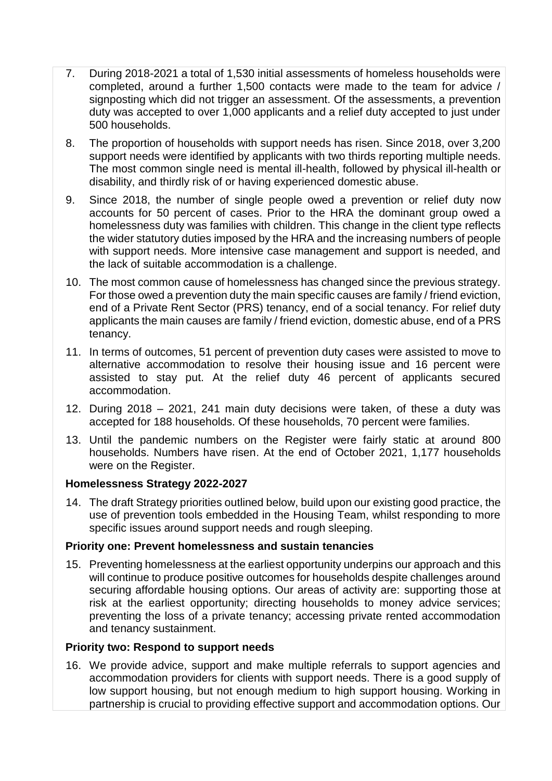- 7. During 2018-2021 a total of 1,530 initial assessments of homeless households were completed, around a further 1,500 contacts were made to the team for advice / signposting which did not trigger an assessment. Of the assessments, a prevention duty was accepted to over 1,000 applicants and a relief duty accepted to just under 500 households.
- 8. The proportion of households with support needs has risen. Since 2018, over 3,200 support needs were identified by applicants with two thirds reporting multiple needs. The most common single need is mental ill-health, followed by physical ill-health or disability, and thirdly risk of or having experienced domestic abuse.
- 9. Since 2018, the number of single people owed a prevention or relief duty now accounts for 50 percent of cases. Prior to the HRA the dominant group owed a homelessness duty was families with children. This change in the client type reflects the wider statutory duties imposed by the HRA and the increasing numbers of people with support needs. More intensive case management and support is needed, and the lack of suitable accommodation is a challenge.
- 10. The most common cause of homelessness has changed since the previous strategy. For those owed a prevention duty the main specific causes are family / friend eviction, end of a Private Rent Sector (PRS) tenancy, end of a social tenancy. For relief duty applicants the main causes are family / friend eviction, domestic abuse, end of a PRS tenancy.
- 11. In terms of outcomes, 51 percent of prevention duty cases were assisted to move to alternative accommodation to resolve their housing issue and 16 percent were assisted to stay put. At the relief duty 46 percent of applicants secured accommodation.
- 12. During 2018 2021, 241 main duty decisions were taken, of these a duty was accepted for 188 households. Of these households, 70 percent were families.
- 13. Until the pandemic numbers on the Register were fairly static at around 800 households. Numbers have risen. At the end of October 2021, 1,177 households were on the Register.

## **Homelessness Strategy 2022-2027**

14. The draft Strategy priorities outlined below, build upon our existing good practice, the use of prevention tools embedded in the Housing Team, whilst responding to more specific issues around support needs and rough sleeping.

# **Priority one: Prevent homelessness and sustain tenancies**

15. Preventing homelessness at the earliest opportunity underpins our approach and this will continue to produce positive outcomes for households despite challenges around securing affordable housing options. Our areas of activity are: supporting those at risk at the earliest opportunity; directing households to money advice services; preventing the loss of a private tenancy; accessing private rented accommodation and tenancy sustainment.

# **Priority two: Respond to support needs**

16. We provide advice, support and make multiple referrals to support agencies and accommodation providers for clients with support needs. There is a good supply of low support housing, but not enough medium to high support housing. Working in partnership is crucial to providing effective support and accommodation options. Our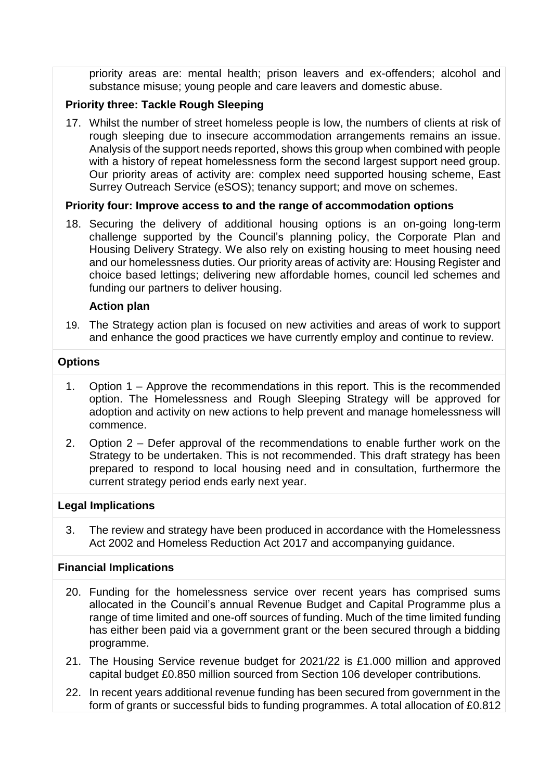priority areas are: mental health; prison leavers and ex-offenders; alcohol and substance misuse; young people and care leavers and domestic abuse.

# **Priority three: Tackle Rough Sleeping**

17. Whilst the number of street homeless people is low, the numbers of clients at risk of rough sleeping due to insecure accommodation arrangements remains an issue. Analysis of the support needs reported, shows this group when combined with people with a history of repeat homelessness form the second largest support need group. Our priority areas of activity are: complex need supported housing scheme, East Surrey Outreach Service (eSOS); tenancy support; and move on schemes.

# **Priority four: Improve access to and the range of accommodation options**

18. Securing the delivery of additional housing options is an on-going long-term challenge supported by the Council's planning policy, the Corporate Plan and Housing Delivery Strategy. We also rely on existing housing to meet housing need and our homelessness duties. Our priority areas of activity are: Housing Register and choice based lettings; delivering new affordable homes, council led schemes and funding our partners to deliver housing.

# **Action plan**

19. The Strategy action plan is focused on new activities and areas of work to support and enhance the good practices we have currently employ and continue to review.

# **Options**

- 1. Option 1 Approve the recommendations in this report. This is the recommended option. The Homelessness and Rough Sleeping Strategy will be approved for adoption and activity on new actions to help prevent and manage homelessness will commence.
- 2. Option 2 Defer approval of the recommendations to enable further work on the Strategy to be undertaken. This is not recommended. This draft strategy has been prepared to respond to local housing need and in consultation, furthermore the current strategy period ends early next year.

## **Legal Implications**

3. The review and strategy have been produced in accordance with the Homelessness Act 2002 and Homeless Reduction Act 2017 and accompanying guidance.

# **Financial Implications**

- 20. Funding for the homelessness service over recent years has comprised sums allocated in the Council's annual Revenue Budget and Capital Programme plus a range of time limited and one-off sources of funding. Much of the time limited funding has either been paid via a government grant or the been secured through a bidding programme.
- 21. The Housing Service revenue budget for 2021/22 is £1.000 million and approved capital budget £0.850 million sourced from Section 106 developer contributions.
- 22. In recent years additional revenue funding has been secured from government in the form of grants or successful bids to funding programmes. A total allocation of £0.812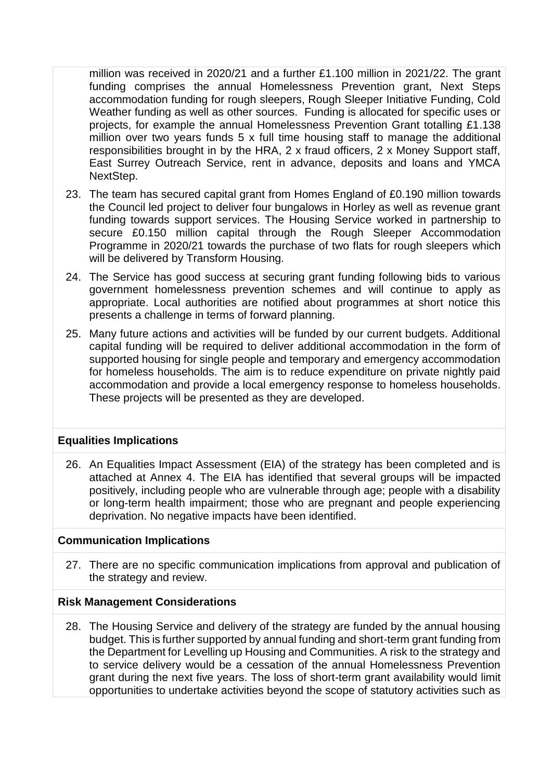million was received in 2020/21 and a further £1.100 million in 2021/22. The grant funding comprises the annual Homelessness Prevention grant, Next Steps accommodation funding for rough sleepers, Rough Sleeper Initiative Funding, Cold Weather funding as well as other sources. Funding is allocated for specific uses or projects, for example the annual Homelessness Prevention Grant totalling £1.138 million over two years funds 5 x full time housing staff to manage the additional responsibilities brought in by the HRA, 2 x fraud officers, 2 x Money Support staff, East Surrey Outreach Service, rent in advance, deposits and loans and YMCA NextStep.

- 23. The team has secured capital grant from Homes England of £0.190 million towards the Council led project to deliver four bungalows in Horley as well as revenue grant funding towards support services. The Housing Service worked in partnership to secure £0.150 million capital through the Rough Sleeper Accommodation Programme in 2020/21 towards the purchase of two flats for rough sleepers which will be delivered by Transform Housing.
- 24. The Service has good success at securing grant funding following bids to various government homelessness prevention schemes and will continue to apply as appropriate. Local authorities are notified about programmes at short notice this presents a challenge in terms of forward planning.
- 25. Many future actions and activities will be funded by our current budgets. Additional capital funding will be required to deliver additional accommodation in the form of supported housing for single people and temporary and emergency accommodation for homeless households. The aim is to reduce expenditure on private nightly paid accommodation and provide a local emergency response to homeless households. These projects will be presented as they are developed.

## **Equalities Implications**

26. An Equalities Impact Assessment (EIA) of the strategy has been completed and is attached at Annex 4. The EIA has identified that several groups will be impacted positively, including people who are vulnerable through age; people with a disability or long-term health impairment; those who are pregnant and people experiencing deprivation. No negative impacts have been identified.

## **Communication Implications**

27. There are no specific communication implications from approval and publication of the strategy and review.

## **Risk Management Considerations**

28. The Housing Service and delivery of the strategy are funded by the annual housing budget. This is further supported by annual funding and short-term grant funding from the Department for Levelling up Housing and Communities. A risk to the strategy and to service delivery would be a cessation of the annual Homelessness Prevention grant during the next five years. The loss of short-term grant availability would limit opportunities to undertake activities beyond the scope of statutory activities such as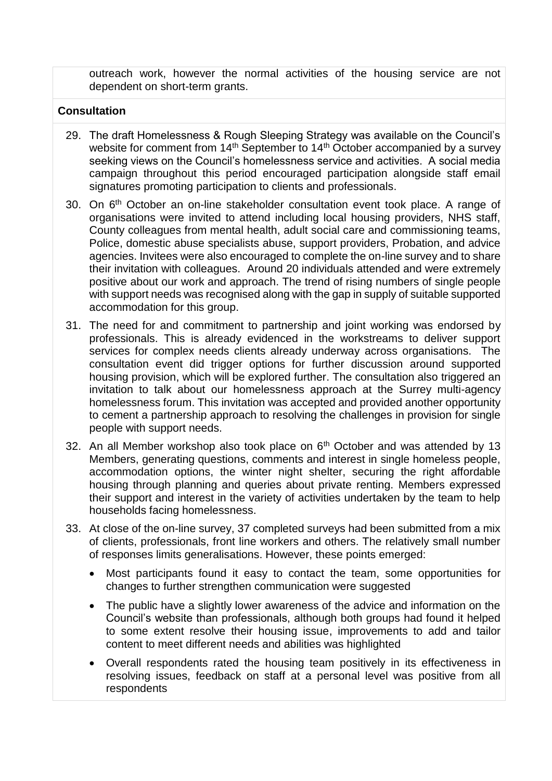outreach work, however the normal activities of the housing service are not dependent on short-term grants.

# **Consultation**

- 29. The draft Homelessness & Rough Sleeping Strategy was available on the Council's website for comment from 14<sup>th</sup> September to 14<sup>th</sup> October accompanied by a survey seeking views on the Council's homelessness service and activities. A social media campaign throughout this period encouraged participation alongside staff email signatures promoting participation to clients and professionals.
- 30. On 6<sup>th</sup> October an on-line stakeholder consultation event took place. A range of organisations were invited to attend including local housing providers, NHS staff, County colleagues from mental health, adult social care and commissioning teams, Police, domestic abuse specialists abuse, support providers, Probation, and advice agencies. Invitees were also encouraged to complete the on-line survey and to share their invitation with colleagues. Around 20 individuals attended and were extremely positive about our work and approach. The trend of rising numbers of single people with support needs was recognised along with the gap in supply of suitable supported accommodation for this group.
- 31. The need for and commitment to partnership and joint working was endorsed by professionals. This is already evidenced in the workstreams to deliver support services for complex needs clients already underway across organisations. The consultation event did trigger options for further discussion around supported housing provision, which will be explored further. The consultation also triggered an invitation to talk about our homelessness approach at the Surrey multi-agency homelessness forum. This invitation was accepted and provided another opportunity to cement a partnership approach to resolving the challenges in provision for single people with support needs.
- 32. An all Member workshop also took place on  $6<sup>th</sup>$  October and was attended by 13 Members, generating questions, comments and interest in single homeless people, accommodation options, the winter night shelter, securing the right affordable housing through planning and queries about private renting. Members expressed their support and interest in the variety of activities undertaken by the team to help households facing homelessness.
- 33. At close of the on-line survey, 37 completed surveys had been submitted from a mix of clients, professionals, front line workers and others. The relatively small number of responses limits generalisations. However, these points emerged:
	- Most participants found it easy to contact the team, some opportunities for changes to further strengthen communication were suggested
	- The public have a slightly lower awareness of the advice and information on the Council's website than professionals, although both groups had found it helped to some extent resolve their housing issue, improvements to add and tailor content to meet different needs and abilities was highlighted
	- Overall respondents rated the housing team positively in its effectiveness in resolving issues, feedback on staff at a personal level was positive from all respondents